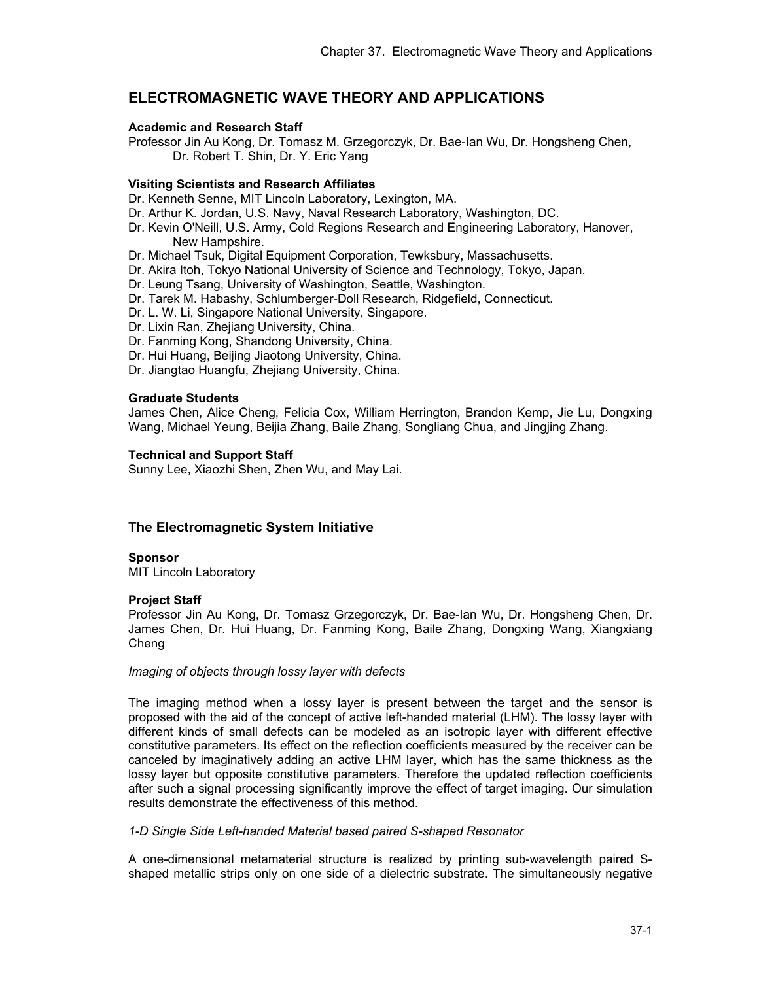# **ELECTROMAGNETIC WAVE THEORY AND APPLICATIONS**

## **Academic and Research Staff**

Professor Jin Au Kong, Dr. Tomasz M. Grzegorczyk, Dr. Bae-Ian Wu, Dr. Hongsheng Chen, Dr. Robert T. Shin, Dr. Y. Eric Yang

## **Visiting Scientists and Research Affiliates**

Dr. Kenneth Senne, MIT Lincoln Laboratory, Lexington, MA.

- Dr. Arthur K. Jordan, U.S. Navy, Naval Research Laboratory, Washington, DC.
- Dr. Kevin O'Neill, U.S. Army, Cold Regions Research and Engineering Laboratory, Hanover, New Hampshire.
- Dr. Michael Tsuk, Digital Equipment Corporation, Tewksbury, Massachusetts.
- Dr. Akira Itoh, Tokyo National University of Science and Technology, Tokyo, Japan.
- Dr. Leung Tsang, University of Washington, Seattle, Washington.
- Dr. Tarek M. Habashy, Schlumberger-Doll Research, Ridgefield, Connecticut.
- Dr. L. W. Li, Singapore National University, Singapore.
- Dr. Lixin Ran, Zhejiang University, China.
- Dr. Fanming Kong, Shandong University, China.
- Dr. Hui Huang, Beijing Jiaotong University, China.
- Dr. Jiangtao Huangfu, Zhejiang University, China.

### **Graduate Students**

James Chen, Alice Cheng, Felicia Cox, William Herrington, Brandon Kemp, Jie Lu, Dongxing Wang, Michael Yeung, Beijia Zhang, Baile Zhang, Songliang Chua, and Jingjing Zhang.

### **Technical and Support Staff**

Sunny Lee, Xiaozhi Shen, Zhen Wu, and May Lai.

## **The Electromagnetic System Initiative**

### **Sponsor**

MIT Lincoln Laboratory

### **Project Staff**

Professor Jin Au Kong, Dr. Tomasz Grzegorczyk, Dr. Bae-Ian Wu, Dr. Hongsheng Chen, Dr. James Chen, Dr. Hui Huang, Dr. Fanming Kong, Baile Zhang, Dongxing Wang, Xiangxiang Cheng

#### *Imaging of objects through lossy layer with defects*

The imaging method when a lossy layer is present between the target and the sensor is proposed with the aid of the concept of active left-handed material (LHM). The lossy layer with different kinds of small defects can be modeled as an isotropic layer with different effective constitutive parameters. Its effect on the reflection coefficients measured by the receiver can be canceled by imaginatively adding an active LHM layer, which has the same thickness as the lossy layer but opposite constitutive parameters. Therefore the updated reflection coefficients after such a signal processing significantly improve the effect of target imaging. Our simulation results demonstrate the effectiveness of this method.

### *1-D Single Side Left-handed Material based paired S-shaped Resonator*

A one-dimensional metamaterial structure is realized by printing sub-wavelength paired Sshaped metallic strips only on one side of a dielectric substrate. The simultaneously negative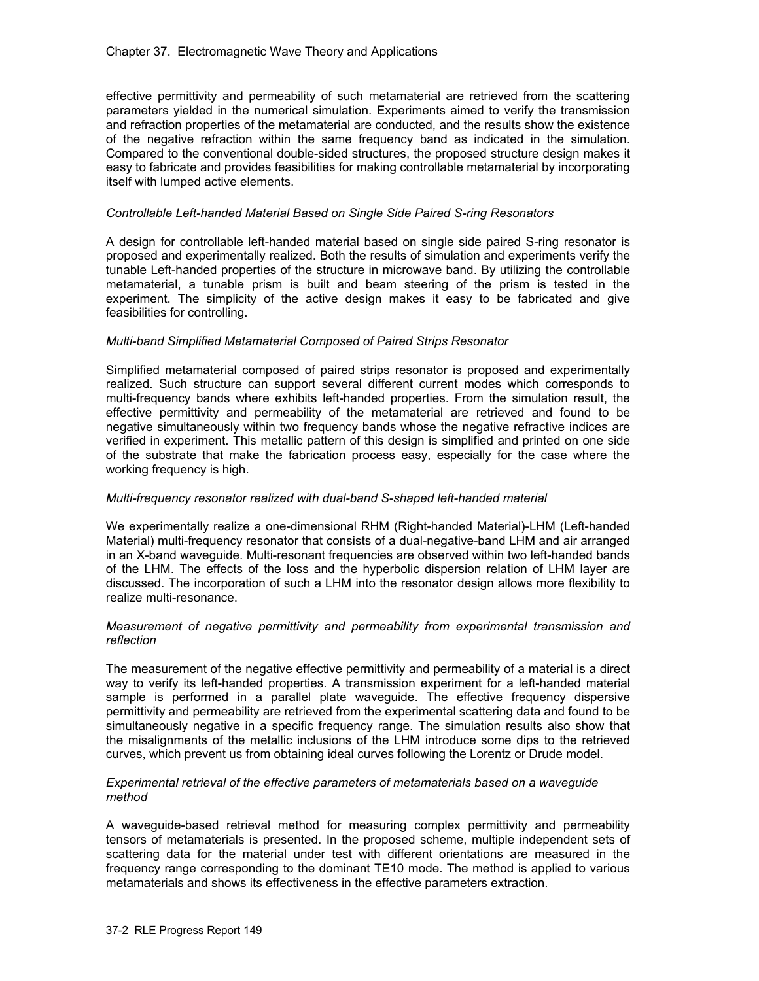### Chapter 37. Electromagnetic Wave Theory and Applications

effective permittivity and permeability of such metamaterial are retrieved from the scattering parameters yielded in the numerical simulation. Experiments aimed to verify the transmission and refraction properties of the metamaterial are conducted, and the results show the existence of the negative refraction within the same frequency band as indicated in the simulation. Compared to the conventional double-sided structures, the proposed structure design makes it easy to fabricate and provides feasibilities for making controllable metamaterial by incorporating itself with lumped active elements.

## *Controllable Left-handed Material Based on Single Side Paired S-ring Resonators*

A design for controllable left-handed material based on single side paired S-ring resonator is proposed and experimentally realized. Both the results of simulation and experiments verify the tunable Left-handed properties of the structure in microwave band. By utilizing the controllable metamaterial, a tunable prism is built and beam steering of the prism is tested in the experiment. The simplicity of the active design makes it easy to be fabricated and give feasibilities for controlling.

## *Multi-band Simplified Metamaterial Composed of Paired Strips Resonator*

Simplified metamaterial composed of paired strips resonator is proposed and experimentally realized. Such structure can support several different current modes which corresponds to multi-frequency bands where exhibits left-handed properties. From the simulation result, the effective permittivity and permeability of the metamaterial are retrieved and found to be negative simultaneously within two frequency bands whose the negative refractive indices are verified in experiment. This metallic pattern of this design is simplified and printed on one side of the substrate that make the fabrication process easy, especially for the case where the working frequency is high.

## *Multi-frequency resonator realized with dual-band S-shaped left-handed material*

We experimentally realize a one-dimensional RHM (Right-handed Material)-LHM (Left-handed Material) multi-frequency resonator that consists of a dual-negative-band LHM and air arranged in an X-band waveguide. Multi-resonant frequencies are observed within two left-handed bands of the LHM. The effects of the loss and the hyperbolic dispersion relation of LHM layer are discussed. The incorporation of such a LHM into the resonator design allows more flexibility to realize multi-resonance.

### *Measurement of negative permittivity and permeability from experimental transmission and reflection*

The measurement of the negative effective permittivity and permeability of a material is a direct way to verify its left-handed properties. A transmission experiment for a left-handed material sample is performed in a parallel plate waveguide. The effective frequency dispersive permittivity and permeability are retrieved from the experimental scattering data and found to be simultaneously negative in a specific frequency range. The simulation results also show that the misalignments of the metallic inclusions of the LHM introduce some dips to the retrieved curves, which prevent us from obtaining ideal curves following the Lorentz or Drude model.

### *Experimental retrieval of the effective parameters of metamaterials based on a waveguide method*

A waveguide-based retrieval method for measuring complex permittivity and permeability tensors of metamaterials is presented. In the proposed scheme, multiple independent sets of scattering data for the material under test with different orientations are measured in the frequency range corresponding to the dominant TE10 mode. The method is applied to various metamaterials and shows its effectiveness in the effective parameters extraction.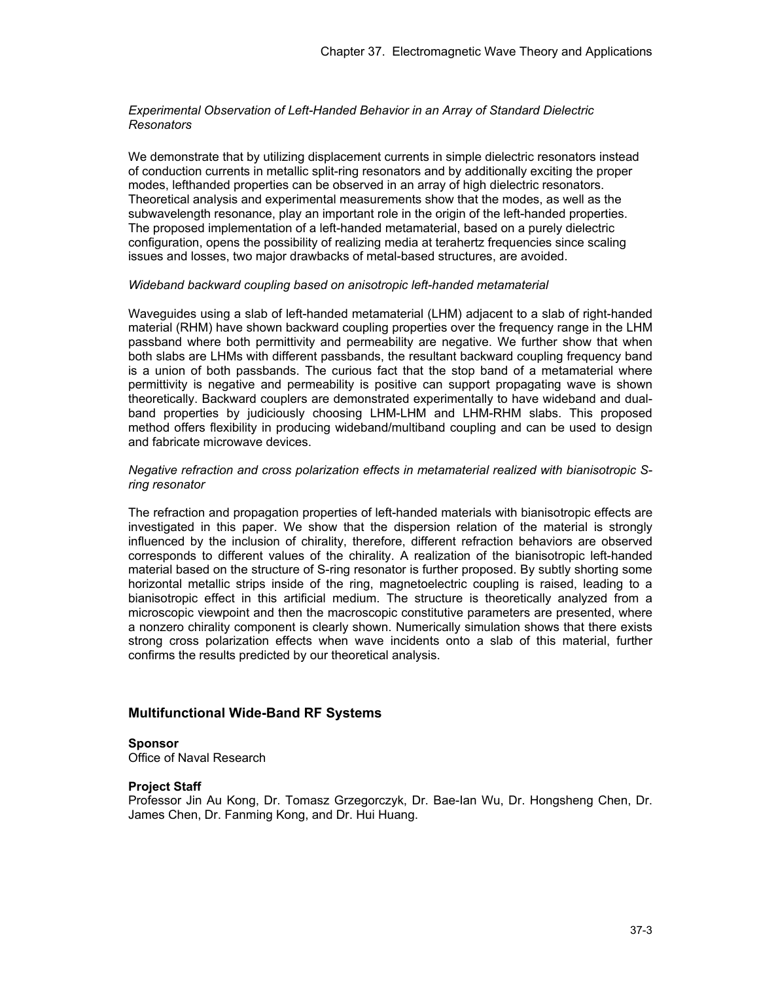### *Experimental Observation of Left-Handed Behavior in an Array of Standard Dielectric Resonators*

We demonstrate that by utilizing displacement currents in simple dielectric resonators instead of conduction currents in metallic split-ring resonators and by additionally exciting the proper modes, lefthanded properties can be observed in an array of high dielectric resonators. Theoretical analysis and experimental measurements show that the modes, as well as the subwavelength resonance, play an important role in the origin of the left-handed properties. The proposed implementation of a left-handed metamaterial, based on a purely dielectric configuration, opens the possibility of realizing media at terahertz frequencies since scaling issues and losses, two major drawbacks of metal-based structures, are avoided.

#### *Wideband backward coupling based on anisotropic left-handed metamaterial*

Waveguides using a slab of left-handed metamaterial (LHM) adjacent to a slab of right-handed material (RHM) have shown backward coupling properties over the frequency range in the LHM passband where both permittivity and permeability are negative. We further show that when both slabs are LHMs with different passbands, the resultant backward coupling frequency band is a union of both passbands. The curious fact that the stop band of a metamaterial where permittivity is negative and permeability is positive can support propagating wave is shown theoretically. Backward couplers are demonstrated experimentally to have wideband and dualband properties by judiciously choosing LHM-LHM and LHM-RHM slabs. This proposed method offers flexibility in producing wideband/multiband coupling and can be used to design and fabricate microwave devices.

### *Negative refraction and cross polarization effects in metamaterial realized with bianisotropic Sring resonator*

The refraction and propagation properties of left-handed materials with bianisotropic effects are investigated in this paper. We show that the dispersion relation of the material is strongly influenced by the inclusion of chirality, therefore, different refraction behaviors are observed corresponds to different values of the chirality. A realization of the bianisotropic left-handed material based on the structure of S-ring resonator is further proposed. By subtly shorting some horizontal metallic strips inside of the ring, magnetoelectric coupling is raised, leading to a bianisotropic effect in this artificial medium. The structure is theoretically analyzed from a microscopic viewpoint and then the macroscopic constitutive parameters are presented, where a nonzero chirality component is clearly shown. Numerically simulation shows that there exists strong cross polarization effects when wave incidents onto a slab of this material, further confirms the results predicted by our theoretical analysis.

## **Multifunctional Wide-Band RF Systems**

### **Sponsor**

Office of Naval Research

### **Project Staff**

Professor Jin Au Kong, Dr. Tomasz Grzegorczyk, Dr. Bae-Ian Wu, Dr. Hongsheng Chen, Dr. James Chen, Dr. Fanming Kong, and Dr. Hui Huang.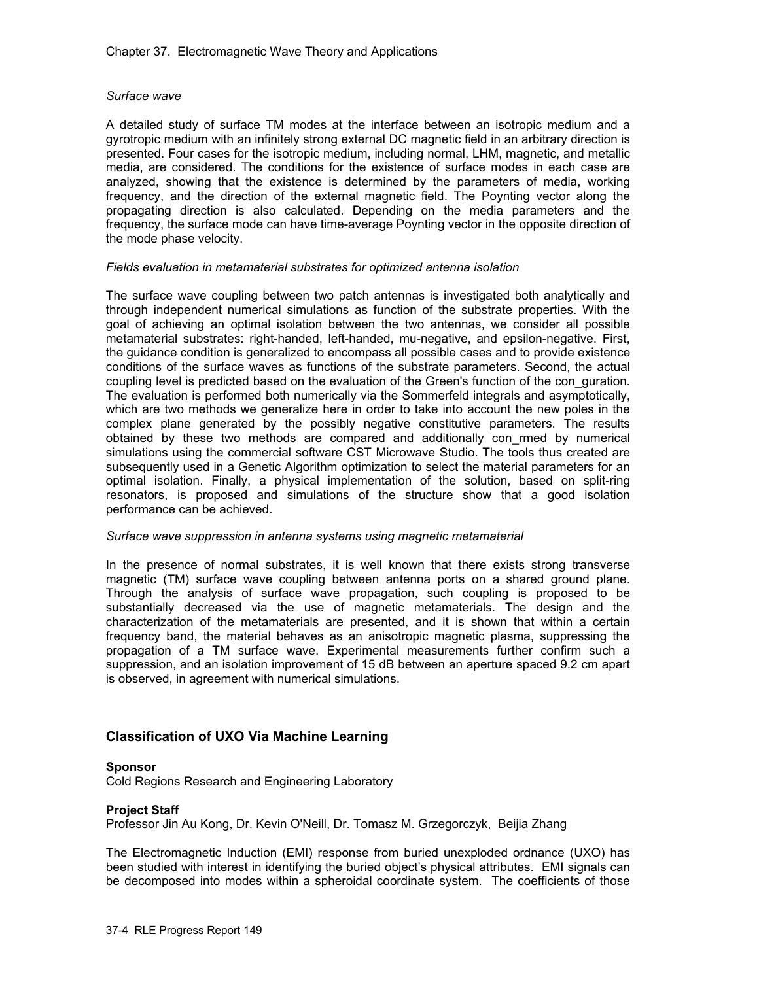## *Surface wave*

A detailed study of surface TM modes at the interface between an isotropic medium and a gyrotropic medium with an infinitely strong external DC magnetic field in an arbitrary direction is presented. Four cases for the isotropic medium, including normal, LHM, magnetic, and metallic media, are considered. The conditions for the existence of surface modes in each case are analyzed, showing that the existence is determined by the parameters of media, working frequency, and the direction of the external magnetic field. The Poynting vector along the propagating direction is also calculated. Depending on the media parameters and the frequency, the surface mode can have time-average Poynting vector in the opposite direction of the mode phase velocity.

### *Fields evaluation in metamaterial substrates for optimized antenna isolation*

The surface wave coupling between two patch antennas is investigated both analytically and through independent numerical simulations as function of the substrate properties. With the goal of achieving an optimal isolation between the two antennas, we consider all possible metamaterial substrates: right-handed, left-handed, mu-negative, and epsilon-negative. First, the guidance condition is generalized to encompass all possible cases and to provide existence conditions of the surface waves as functions of the substrate parameters. Second, the actual coupling level is predicted based on the evaluation of the Green's function of the con\_guration. The evaluation is performed both numerically via the Sommerfeld integrals and asymptotically, which are two methods we generalize here in order to take into account the new poles in the complex plane generated by the possibly negative constitutive parameters. The results obtained by these two methods are compared and additionally con\_rmed by numerical simulations using the commercial software CST Microwave Studio. The tools thus created are subsequently used in a Genetic Algorithm optimization to select the material parameters for an optimal isolation. Finally, a physical implementation of the solution, based on split-ring resonators, is proposed and simulations of the structure show that a good isolation performance can be achieved.

### *Surface wave suppression in antenna systems using magnetic metamaterial*

In the presence of normal substrates, it is well known that there exists strong transverse magnetic (TM) surface wave coupling between antenna ports on a shared ground plane. Through the analysis of surface wave propagation, such coupling is proposed to be substantially decreased via the use of magnetic metamaterials. The design and the characterization of the metamaterials are presented, and it is shown that within a certain frequency band, the material behaves as an anisotropic magnetic plasma, suppressing the propagation of a TM surface wave. Experimental measurements further confirm such a suppression, and an isolation improvement of 15 dB between an aperture spaced 9.2 cm apart is observed, in agreement with numerical simulations.

## **Classification of UXO Via Machine Learning**

### **Sponsor**

Cold Regions Research and Engineering Laboratory

### **Project Staff**

Professor Jin Au Kong, Dr. Kevin O'Neill, Dr. Tomasz M. Grzegorczyk, Beijia Zhang

The Electromagnetic Induction (EMI) response from buried unexploded ordnance (UXO) has been studied with interest in identifying the buried object's physical attributes. EMI signals can be decomposed into modes within a spheroidal coordinate system. The coefficients of those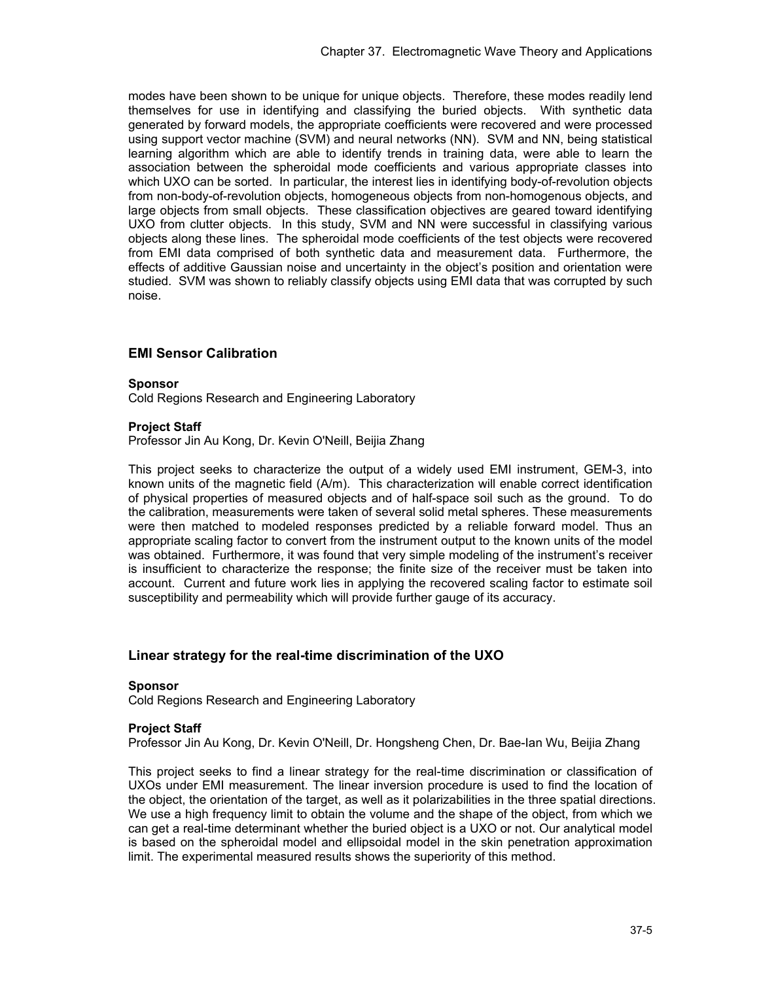modes have been shown to be unique for unique objects. Therefore, these modes readily lend themselves for use in identifying and classifying the buried objects. With synthetic data generated by forward models, the appropriate coefficients were recovered and were processed using support vector machine (SVM) and neural networks (NN). SVM and NN, being statistical learning algorithm which are able to identify trends in training data, were able to learn the association between the spheroidal mode coefficients and various appropriate classes into which UXO can be sorted. In particular, the interest lies in identifying body-of-revolution objects from non-body-of-revolution objects, homogeneous objects from non-homogenous objects, and large objects from small objects. These classification objectives are geared toward identifying UXO from clutter objects. In this study, SVM and NN were successful in classifying various objects along these lines. The spheroidal mode coefficients of the test objects were recovered from EMI data comprised of both synthetic data and measurement data. Furthermore, the effects of additive Gaussian noise and uncertainty in the object's position and orientation were studied. SVM was shown to reliably classify objects using EMI data that was corrupted by such noise.

## **EMI Sensor Calibration**

#### **Sponsor**

Cold Regions Research and Engineering Laboratory

### **Project Staff**

Professor Jin Au Kong, Dr. Kevin O'Neill, Beijia Zhang

This project seeks to characterize the output of a widely used EMI instrument, GEM-3, into known units of the magnetic field (A/m). This characterization will enable correct identification of physical properties of measured objects and of half-space soil such as the ground. To do the calibration, measurements were taken of several solid metal spheres. These measurements were then matched to modeled responses predicted by a reliable forward model. Thus an appropriate scaling factor to convert from the instrument output to the known units of the model was obtained. Furthermore, it was found that very simple modeling of the instrument's receiver is insufficient to characterize the response; the finite size of the receiver must be taken into account. Current and future work lies in applying the recovered scaling factor to estimate soil susceptibility and permeability which will provide further gauge of its accuracy.

## **Linear strategy for the real-time discrimination of the UXO**

#### **Sponsor**

Cold Regions Research and Engineering Laboratory

#### **Project Staff**

Professor Jin Au Kong, Dr. Kevin O'Neill, Dr. Hongsheng Chen, Dr. Bae-Ian Wu, Beijia Zhang

This project seeks to find a linear strategy for the real-time discrimination or classification of UXOs under EMI measurement. The linear inversion procedure is used to find the location of the object, the orientation of the target, as well as it polarizabilities in the three spatial directions. We use a high frequency limit to obtain the volume and the shape of the object, from which we can get a real-time determinant whether the buried object is a UXO or not. Our analytical model is based on the spheroidal model and ellipsoidal model in the skin penetration approximation limit. The experimental measured results shows the superiority of this method.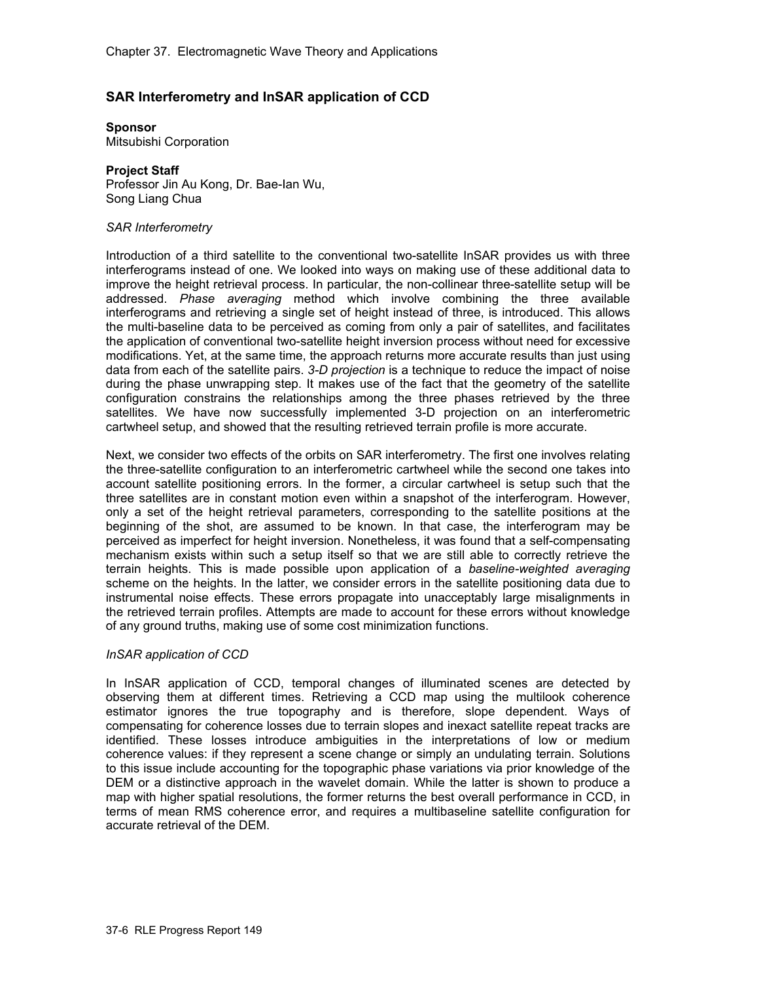## **SAR Interferometry and InSAR application of CCD**

**Sponsor** Mitsubishi Corporation

# **Project Staff**

Professor Jin Au Kong, Dr. Bae-Ian Wu, Song Liang Chua

### *SAR Interferometry*

Introduction of a third satellite to the conventional two-satellite InSAR provides us with three interferograms instead of one. We looked into ways on making use of these additional data to improve the height retrieval process. In particular, the non-collinear three-satellite setup will be addressed. *Phase averaging* method which involve combining the three available interferograms and retrieving a single set of height instead of three, is introduced. This allows the multi-baseline data to be perceived as coming from only a pair of satellites, and facilitates the application of conventional two-satellite height inversion process without need for excessive modifications. Yet, at the same time, the approach returns more accurate results than just using data from each of the satellite pairs. *3-D projection* is a technique to reduce the impact of noise during the phase unwrapping step. It makes use of the fact that the geometry of the satellite configuration constrains the relationships among the three phases retrieved by the three satellites. We have now successfully implemented 3-D projection on an interferometric cartwheel setup, and showed that the resulting retrieved terrain profile is more accurate.

Next, we consider two effects of the orbits on SAR interferometry. The first one involves relating the three-satellite configuration to an interferometric cartwheel while the second one takes into account satellite positioning errors. In the former, a circular cartwheel is setup such that the three satellites are in constant motion even within a snapshot of the interferogram. However, only a set of the height retrieval parameters, corresponding to the satellite positions at the beginning of the shot, are assumed to be known. In that case, the interferogram may be perceived as imperfect for height inversion. Nonetheless, it was found that a self-compensating mechanism exists within such a setup itself so that we are still able to correctly retrieve the terrain heights. This is made possible upon application of a *baseline-weighted averaging* scheme on the heights. In the latter, we consider errors in the satellite positioning data due to instrumental noise effects. These errors propagate into unacceptably large misalignments in the retrieved terrain profiles. Attempts are made to account for these errors without knowledge of any ground truths, making use of some cost minimization functions.

### *InSAR application of CCD*

In InSAR application of CCD, temporal changes of illuminated scenes are detected by observing them at different times. Retrieving a CCD map using the multilook coherence estimator ignores the true topography and is therefore, slope dependent. Ways of compensating for coherence losses due to terrain slopes and inexact satellite repeat tracks are identified. These losses introduce ambiguities in the interpretations of low or medium coherence values: if they represent a scene change or simply an undulating terrain. Solutions to this issue include accounting for the topographic phase variations via prior knowledge of the DEM or a distinctive approach in the wavelet domain. While the latter is shown to produce a map with higher spatial resolutions, the former returns the best overall performance in CCD, in terms of mean RMS coherence error, and requires a multibaseline satellite configuration for accurate retrieval of the DEM.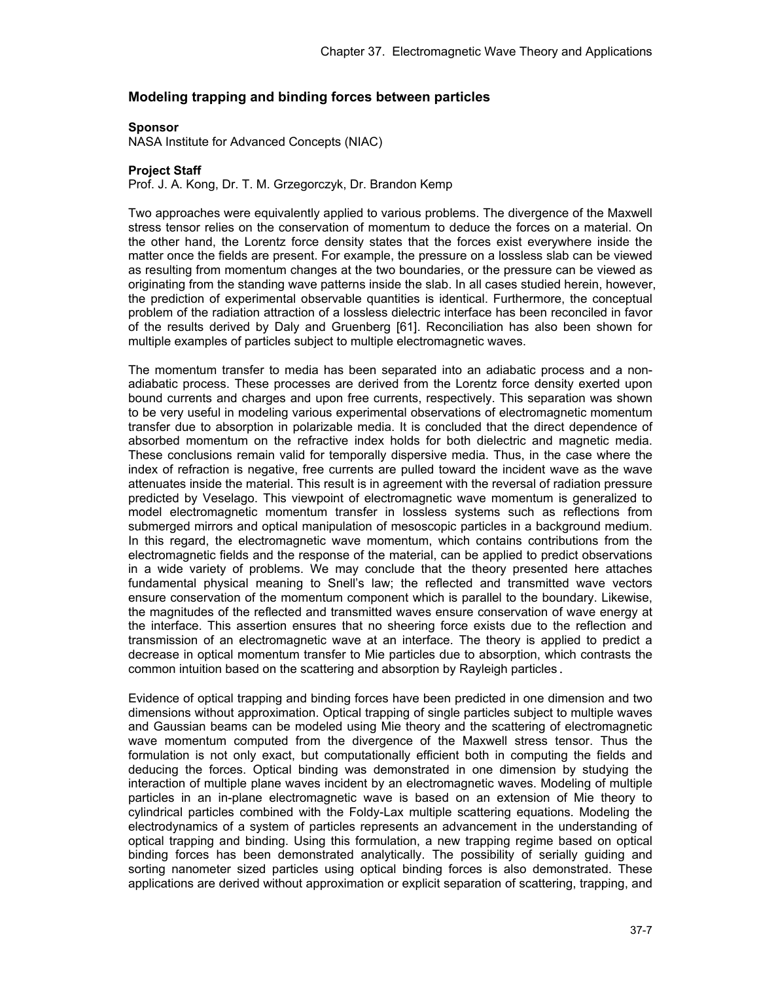## **Modeling trapping and binding forces between particles**

#### **Sponsor**

NASA Institute for Advanced Concepts (NIAC)

### **Project Staff**

Prof. J. A. Kong, Dr. T. M. Grzegorczyk, Dr. Brandon Kemp

Two approaches were equivalently applied to various problems. The divergence of the Maxwell stress tensor relies on the conservation of momentum to deduce the forces on a material. On the other hand, the Lorentz force density states that the forces exist everywhere inside the matter once the fields are present. For example, the pressure on a lossless slab can be viewed as resulting from momentum changes at the two boundaries, or the pressure can be viewed as originating from the standing wave patterns inside the slab. In all cases studied herein, however, the prediction of experimental observable quantities is identical. Furthermore, the conceptual problem of the radiation attraction of a lossless dielectric interface has been reconciled in favor of the results derived by Daly and Gruenberg [61]. Reconciliation has also been shown for multiple examples of particles subject to multiple electromagnetic waves.

The momentum transfer to media has been separated into an adiabatic process and a nonadiabatic process. These processes are derived from the Lorentz force density exerted upon bound currents and charges and upon free currents, respectively. This separation was shown to be very useful in modeling various experimental observations of electromagnetic momentum transfer due to absorption in polarizable media. It is concluded that the direct dependence of absorbed momentum on the refractive index holds for both dielectric and magnetic media. These conclusions remain valid for temporally dispersive media. Thus, in the case where the index of refraction is negative, free currents are pulled toward the incident wave as the wave attenuates inside the material. This result is in agreement with the reversal of radiation pressure predicted by Veselago. This viewpoint of electromagnetic wave momentum is generalized to model electromagnetic momentum transfer in lossless systems such as reflections from submerged mirrors and optical manipulation of mesoscopic particles in a background medium. In this regard, the electromagnetic wave momentum, which contains contributions from the electromagnetic fields and the response of the material, can be applied to predict observations in a wide variety of problems. We may conclude that the theory presented here attaches fundamental physical meaning to Snell's law; the reflected and transmitted wave vectors ensure conservation of the momentum component which is parallel to the boundary. Likewise, the magnitudes of the reflected and transmitted waves ensure conservation of wave energy at the interface. This assertion ensures that no sheering force exists due to the reflection and transmission of an electromagnetic wave at an interface. The theory is applied to predict a decrease in optical momentum transfer to Mie particles due to absorption, which contrasts the common intuition based on the scattering and absorption by Rayleigh particles.

Evidence of optical trapping and binding forces have been predicted in one dimension and two dimensions without approximation. Optical trapping of single particles subject to multiple waves and Gaussian beams can be modeled using Mie theory and the scattering of electromagnetic wave momentum computed from the divergence of the Maxwell stress tensor. Thus the formulation is not only exact, but computationally efficient both in computing the fields and deducing the forces. Optical binding was demonstrated in one dimension by studying the interaction of multiple plane waves incident by an electromagnetic waves. Modeling of multiple particles in an in-plane electromagnetic wave is based on an extension of Mie theory to cylindrical particles combined with the Foldy-Lax multiple scattering equations. Modeling the electrodynamics of a system of particles represents an advancement in the understanding of optical trapping and binding. Using this formulation, a new trapping regime based on optical binding forces has been demonstrated analytically. The possibility of serially guiding and sorting nanometer sized particles using optical binding forces is also demonstrated. These applications are derived without approximation or explicit separation of scattering, trapping, and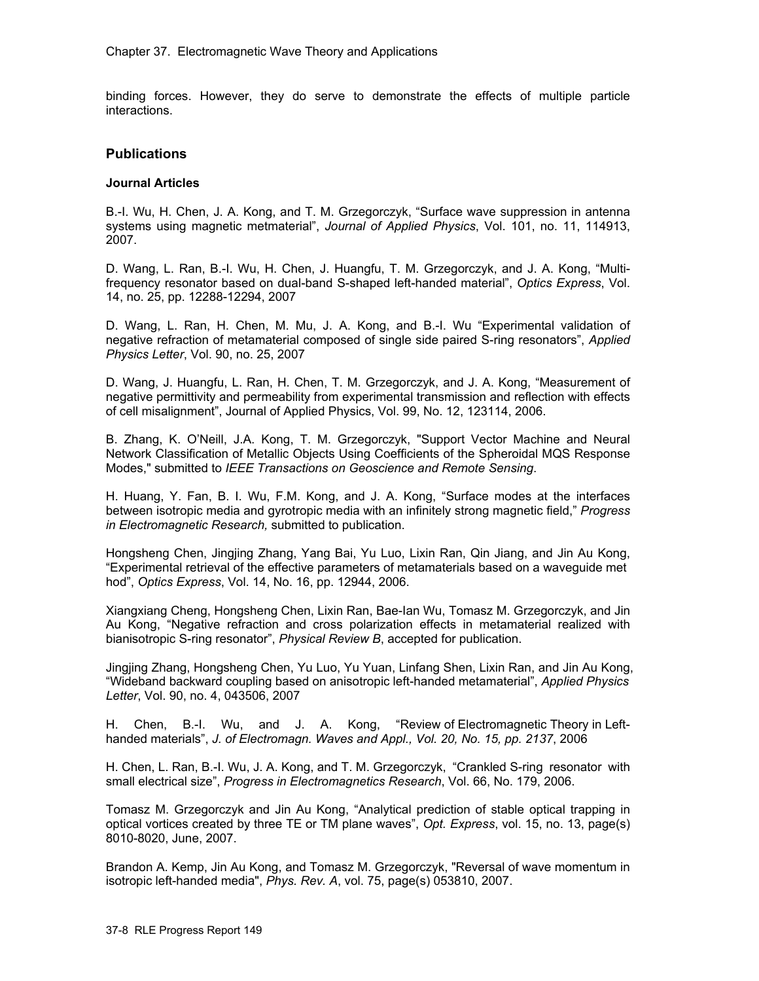binding forces. However, they do serve to demonstrate the effects of multiple particle interactions.

## **Publications**

### **Journal Articles**

B.-I. Wu, H. Chen, J. A. Kong, and T. M. Grzegorczyk, "Surface wave suppression in antenna systems using magnetic metmaterial", *Journal of Applied Physics*, Vol. 101, no. 11, 114913, 2007.

D. Wang, L. Ran, B.-I. Wu, H. Chen, J. Huangfu, T. M. Grzegorczyk, and J. A. Kong, "Multifrequency resonator based on dual-band S-shaped left-handed material", *Optics Express*, Vol. 14, no. 25, pp. 12288-12294, 2007

D. Wang, L. Ran, H. Chen, M. Mu, J. A. Kong, and B.-I. Wu "Experimental validation of negative refraction of metamaterial composed of single side paired S-ring resonators", *Applied Physics Letter*, Vol. 90, no. 25, 2007

D. Wang, J. Huangfu, L. Ran, H. Chen, T. M. Grzegorczyk, and J. A. Kong, "Measurement of negative permittivity and permeability from experimental transmission and reflection with effects of cell misalignment", Journal of Applied Physics, Vol. 99, No. 12, 123114, 2006.

B. Zhang, K. O'Neill, J.A. Kong, T. M. Grzegorczyk, "Support Vector Machine and Neural Network Classification of Metallic Objects Using Coefficients of the Spheroidal MQS Response Modes," submitted to *IEEE Transactions on Geoscience and Remote Sensing*.

H. Huang, Y. Fan, B. I. Wu, F.M. Kong, and J. A. Kong, "Surface modes at the interfaces between isotropic media and gyrotropic media with an infinitely strong magnetic field," *Progress in Electromagnetic Research,* submitted to publication.

Hongsheng Chen, Jingjing Zhang, Yang Bai, Yu Luo, Lixin Ran, Qin Jiang, and Jin Au Kong, "Experimental retrieval of the effective parameters of metamaterials based on a waveguide met hod", *Optics Express*, Vol. 14, No. 16, pp. 12944, 2006.

Xiangxiang Cheng, Hongsheng Chen, Lixin Ran, Bae-Ian Wu, Tomasz M. Grzegorczyk, and Jin Au Kong, "Negative refraction and cross polarization effects in metamaterial realized with bianisotropic S-ring resonator", *Physical Review B*, accepted for publication.

Jingjing Zhang, Hongsheng Chen, Yu Luo, Yu Yuan, Linfang Shen, Lixin Ran, and Jin Au Kong, "Wideband backward coupling based on anisotropic left-handed metamaterial", *Applied Physics Letter*, Vol. 90, no. 4, 043506, 2007

H. Chen, B.-I. Wu, and J. A. Kong, "Review of Electromagnetic Theory in Lefthanded materials", *J. of Electromagn. Waves and Appl., Vol. 20, No. 15, pp. 2137*, 2006

H. Chen, L. Ran, B.-I. Wu, J. A. Kong, and T. M. Grzegorczyk, "Crankled S-ring resonator with small electrical size", *Progress in Electromagnetics Research*, Vol. 66, No. 179, 2006.

Tomasz M. Grzegorczyk and Jin Au Kong, "Analytical prediction of stable optical trapping in optical vortices created by three TE or TM plane waves", *Opt. Express*, vol. 15, no. 13, page(s) 8010-8020, June, 2007.

Brandon A. Kemp, Jin Au Kong, and Tomasz M. Grzegorczyk, "Reversal of wave momentum in isotropic left-handed media", *Phys. Rev. A*, vol. 75, page(s) 053810, 2007.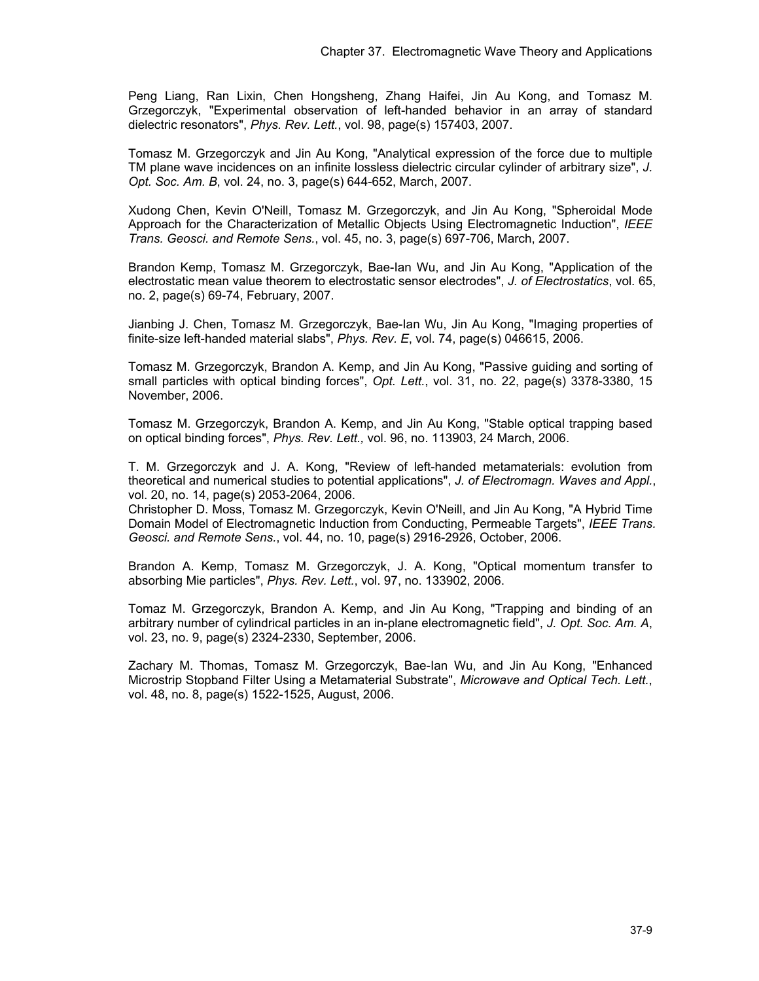Peng Liang, Ran Lixin, Chen Hongsheng, Zhang Haifei, Jin Au Kong, and Tomasz M. Grzegorczyk, "Experimental observation of left-handed behavior in an array of standard dielectric resonators", *Phys. Rev. Lett.*, vol. 98, page(s) 157403, 2007.

Tomasz M. Grzegorczyk and Jin Au Kong, "Analytical expression of the force due to multiple TM plane wave incidences on an infinite lossless dielectric circular cylinder of arbitrary size", *J. Opt. Soc. Am. B*, vol. 24, no. 3, page(s) 644-652, March, 2007.

Xudong Chen, Kevin O'Neill, Tomasz M. Grzegorczyk, and Jin Au Kong, "Spheroidal Mode Approach for the Characterization of Metallic Objects Using Electromagnetic Induction", *IEEE Trans. Geosci. and Remote Sens.*, vol. 45, no. 3, page(s) 697-706, March, 2007.

Brandon Kemp, Tomasz M. Grzegorczyk, Bae-Ian Wu, and Jin Au Kong, "Application of the electrostatic mean value theorem to electrostatic sensor electrodes", *J. of Electrostatics*, vol. 65, no. 2, page(s) 69-74, February, 2007.

Jianbing J. Chen, Tomasz M. Grzegorczyk, Bae-Ian Wu, Jin Au Kong, "Imaging properties of finite-size left-handed material slabs", *Phys. Rev. E*, vol. 74, page(s) 046615, 2006.

Tomasz M. Grzegorczyk, Brandon A. Kemp, and Jin Au Kong, "Passive guiding and sorting of small particles with optical binding forces", *Opt. Lett.*, vol. 31, no. 22, page(s) 3378-3380, 15 November, 2006.

Tomasz M. Grzegorczyk, Brandon A. Kemp, and Jin Au Kong, "Stable optical trapping based on optical binding forces", *Phys. Rev. Lett.,* vol. 96, no. 113903, 24 March, 2006.

T. M. Grzegorczyk and J. A. Kong, "Review of left-handed metamaterials: evolution from theoretical and numerical studies to potential applications", *J. of Electromagn. Waves and Appl.*, vol. 20, no. 14, page(s) 2053-2064, 2006.

Christopher D. Moss, Tomasz M. Grzegorczyk, Kevin O'Neill, and Jin Au Kong, "A Hybrid Time Domain Model of Electromagnetic Induction from Conducting, Permeable Targets", *IEEE Trans. Geosci. and Remote Sens.*, vol. 44, no. 10, page(s) 2916-2926, October, 2006.

Brandon A. Kemp, Tomasz M. Grzegorczyk, J. A. Kong, "Optical momentum transfer to absorbing Mie particles", *Phys. Rev. Lett.*, vol. 97, no. 133902, 2006.

Tomaz M. Grzegorczyk, Brandon A. Kemp, and Jin Au Kong, "Trapping and binding of an arbitrary number of cylindrical particles in an in-plane electromagnetic field", *J. Opt. Soc. Am. A*, vol. 23, no. 9, page(s) 2324-2330, September, 2006.

Zachary M. Thomas, Tomasz M. Grzegorczyk, Bae-Ian Wu, and Jin Au Kong, "Enhanced Microstrip Stopband Filter Using a Metamaterial Substrate", *Microwave and Optical Tech. Lett.*, vol. 48, no. 8, page(s) 1522-1525, August, 2006.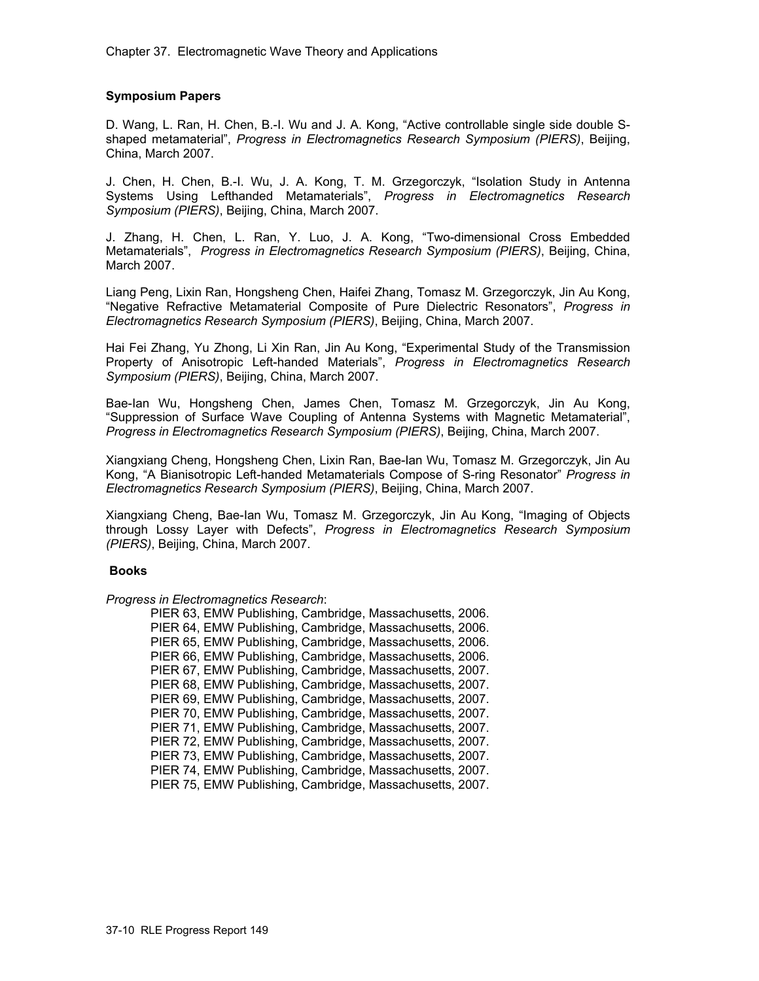### **Symposium Papers**

D. Wang, L. Ran, H. Chen, B.-I. Wu and J. A. Kong, "Active controllable single side double Sshaped metamaterial", *Progress in Electromagnetics Research Symposium (PIERS)*, Beijing, China, March 2007.

J. Chen, H. Chen, B.-I. Wu, J. A. Kong, T. M. Grzegorczyk, "Isolation Study in Antenna Systems Using Lefthanded Metamaterials", *Progress in Electromagnetics Research Symposium (PIERS)*, Beijing, China, March 2007.

J. Zhang, H. Chen, L. Ran, Y. Luo, J. A. Kong, "Two-dimensional Cross Embedded Metamaterials", *Progress in Electromagnetics Research Symposium (PIERS)*, Beijing, China, March 2007.

Liang Peng, Lixin Ran, Hongsheng Chen, Haifei Zhang, Tomasz M. Grzegorczyk, Jin Au Kong, "Negative Refractive Metamaterial Composite of Pure Dielectric Resonators", *Progress in Electromagnetics Research Symposium (PIERS)*, Beijing, China, March 2007.

Hai Fei Zhang, Yu Zhong, Li Xin Ran, Jin Au Kong, "Experimental Study of the Transmission Property of Anisotropic Left-handed Materials", *Progress in Electromagnetics Research Symposium (PIERS)*, Beijing, China, March 2007.

Bae-Ian Wu, Hongsheng Chen, James Chen, Tomasz M. Grzegorczyk, Jin Au Kong, "Suppression of Surface Wave Coupling of Antenna Systems with Magnetic Metamaterial", *Progress in Electromagnetics Research Symposium (PIERS)*, Beijing, China, March 2007.

Xiangxiang Cheng, Hongsheng Chen, Lixin Ran, Bae-Ian Wu, Tomasz M. Grzegorczyk, Jin Au Kong, "A Bianisotropic Left-handed Metamaterials Compose of S-ring Resonator" *Progress in Electromagnetics Research Symposium (PIERS)*, Beijing, China, March 2007.

Xiangxiang Cheng, Bae-Ian Wu, Tomasz M. Grzegorczyk, Jin Au Kong, "Imaging of Objects through Lossy Layer with Defects", *Progress in Electromagnetics Research Symposium (PIERS)*, Beijing, China, March 2007.

### **Books**

*Progress in Electromagnetics Research*:

| PIER 63, EMW Publishing, Cambridge, Massachusetts, 2006. |
|----------------------------------------------------------|
| PIER 64, EMW Publishing, Cambridge, Massachusetts, 2006. |
| PIER 65, EMW Publishing, Cambridge, Massachusetts, 2006. |
| PIER 66, EMW Publishing, Cambridge, Massachusetts, 2006. |
| PIER 67, EMW Publishing, Cambridge, Massachusetts, 2007. |
| PIER 68, EMW Publishing, Cambridge, Massachusetts, 2007. |
| PIER 69, EMW Publishing, Cambridge, Massachusetts, 2007. |
| PIER 70, EMW Publishing, Cambridge, Massachusetts, 2007. |
| PIER 71, EMW Publishing, Cambridge, Massachusetts, 2007. |
| PIER 72, EMW Publishing, Cambridge, Massachusetts, 2007. |
| PIER 73, EMW Publishing, Cambridge, Massachusetts, 2007. |
| PIER 74, EMW Publishing, Cambridge, Massachusetts, 2007. |
| PIER 75, EMW Publishing, Cambridge, Massachusetts, 2007. |